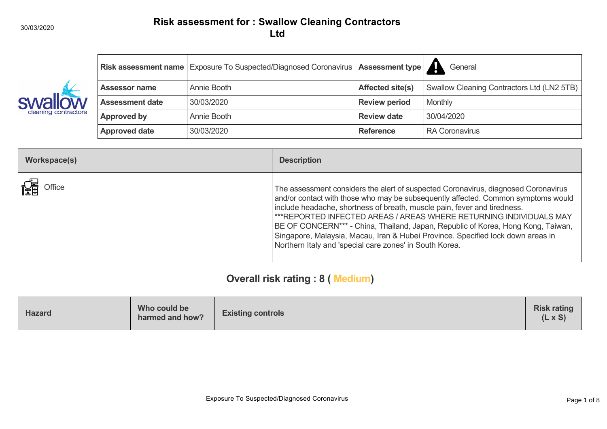

|                        | Risk assessment name Exposure To Suspected/Diagnosed Coronavirus   Assessment type   A |                         | General                                    |
|------------------------|----------------------------------------------------------------------------------------|-------------------------|--------------------------------------------|
| <b>Assessor name</b>   | Annie Booth                                                                            | <b>Affected site(s)</b> | Swallow Cleaning Contractors Ltd (LN2 5TB) |
| <b>Assessment date</b> | 30/03/2020                                                                             | <b>Review period</b>    | Monthly                                    |
| <b>Approved by</b>     | Annie Booth                                                                            | <b>Review date</b>      | 30/04/2020                                 |
| <b>Approved date</b>   | 30/03/2020                                                                             | <b>Reference</b>        | RA Coronavirus                             |

| Workspace(s) | <b>Description</b>                                                                                                                                                                                                                                                                                                                                                                                                                                                                                                                                          |
|--------------|-------------------------------------------------------------------------------------------------------------------------------------------------------------------------------------------------------------------------------------------------------------------------------------------------------------------------------------------------------------------------------------------------------------------------------------------------------------------------------------------------------------------------------------------------------------|
| Office       | The assessment considers the alert of suspected Coronavirus, diagnosed Coronavirus<br>and/or contact with those who may be subsequently affected. Common symptoms would<br>include headache, shortness of breath, muscle pain, fever and tiredness.<br>***REPORTED INFECTED AREAS / AREAS WHERE RETURNING INDIVIDUALS MAY<br>BE OF CONCERN*** - China, Thailand, Japan, Republic of Korea, Hong Kong, Taiwan,<br>Singapore, Malaysia, Macau, Iran & Hubei Province. Specified lock down areas in<br>Northern Italy and 'special care zones' in South Korea. |

# **Overall risk rating : 8 ( Medium)**

| Who could be<br><b>Hazard</b><br>harmed and how? | <b>Existing controls</b> | <b>Risk rating</b><br>$(L \times S)$ |
|--------------------------------------------------|--------------------------|--------------------------------------|
|--------------------------------------------------|--------------------------|--------------------------------------|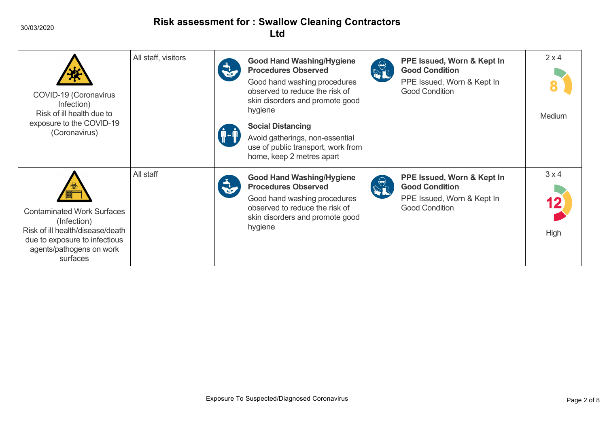30/03/2020

| COVID-19 (Coronavirus<br>Infection)<br>Risk of ill health due to<br>exposure to the COVID-19<br>(Coronavirus)                                                 | All staff, visitors | <b>Good Hand Washing/Hygiene</b><br><b>Procedures Observed</b><br>Good hand washing procedures<br>observed to reduce the risk of<br>skin disorders and promote good<br>hygiene<br><b>Social Distancing</b><br>Avoid gatherings, non-essential<br>use of public transport, work from<br>home, keep 2 metres apart | $\frac{1}{2}$           | PPE Issued, Worn & Kept In<br><b>Good Condition</b><br>PPE Issued, Worn & Kept In<br><b>Good Condition</b> | 2x4<br><b>Medium</b> |
|---------------------------------------------------------------------------------------------------------------------------------------------------------------|---------------------|------------------------------------------------------------------------------------------------------------------------------------------------------------------------------------------------------------------------------------------------------------------------------------------------------------------|-------------------------|------------------------------------------------------------------------------------------------------------|----------------------|
| <b>Contaminated Work Surfaces</b><br>(Infection)<br>Risk of ill health/disease/death<br>due to exposure to infectious<br>agents/pathogens on work<br>surfaces | All staff           | <b>Good Hand Washing/Hygiene</b><br><b>Procedures Observed</b><br>Good hand washing procedures<br>observed to reduce the risk of<br>skin disorders and promote good<br>hygiene                                                                                                                                   | $\frac{\Theta}{\Omega}$ | PPE Issued, Worn & Kept In<br><b>Good Condition</b><br>PPE Issued, Worn & Kept In<br><b>Good Condition</b> | 3x4<br>High          |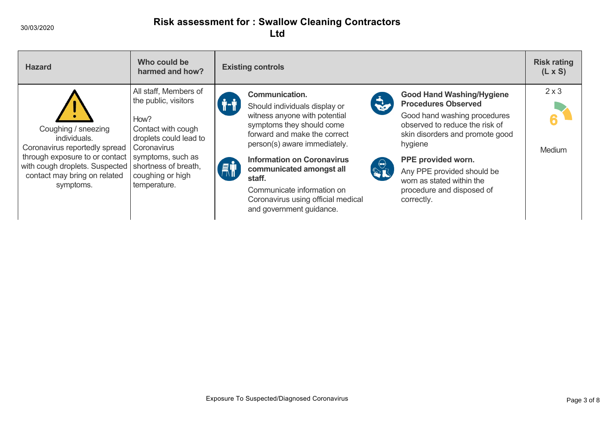| <b>Hazard</b>                                                                                                                                                                         | Who could be<br>harmed and how?                                                                                                                                                                       | <b>Existing controls</b>                                                                                                                                                                                                                                                                                                                                                                                                                                                                                                                                                                                                                                                                                   | <b>Risk rating</b><br>$(L \times S)$ |
|---------------------------------------------------------------------------------------------------------------------------------------------------------------------------------------|-------------------------------------------------------------------------------------------------------------------------------------------------------------------------------------------------------|------------------------------------------------------------------------------------------------------------------------------------------------------------------------------------------------------------------------------------------------------------------------------------------------------------------------------------------------------------------------------------------------------------------------------------------------------------------------------------------------------------------------------------------------------------------------------------------------------------------------------------------------------------------------------------------------------------|--------------------------------------|
| Coughing / sneezing<br>individuals.<br>Coronavirus reportedly spread<br>through exposure to or contact<br>with cough droplets. Suspected<br>contact may bring on related<br>symptoms. | All staff, Members of<br>the public, visitors<br>How?<br>Contact with cough<br>droplets could lead to<br>Coronavirus<br>symptoms, such as<br>shortness of breath,<br>coughing or high<br>temperature. | <b>Good Hand Washing/Hygiene</b><br>Communication.<br><b>REA</b><br><b>Procedures Observed</b><br>Should individuals display or<br>witness anyone with potential<br>Good hand washing procedures<br>observed to reduce the risk of<br>symptoms they should come<br>forward and make the correct<br>skin disorders and promote good<br>person(s) aware immediately.<br>hygiene<br><b>Information on Coronavirus</b><br>PPE provided worn.<br>$\frac{1}{2}$<br>鼎<br>communicated amongst all<br>Any PPE provided should be<br>staff.<br>worn as stated within the<br>Communicate information on<br>procedure and disposed of<br>Coronavirus using official medical<br>correctly.<br>and government guidance. | $2 \times 3$<br>Medium               |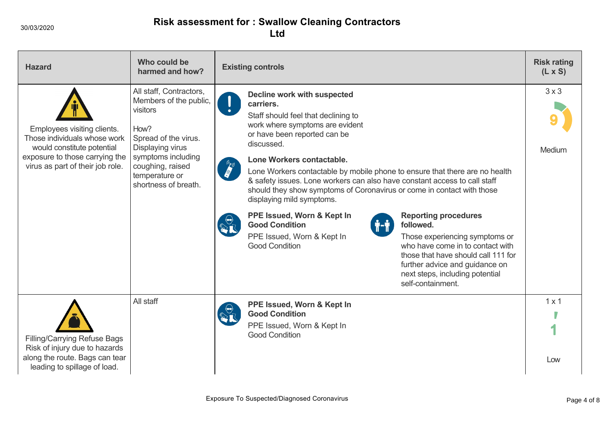| <b>Hazard</b>                                                                                                                                                   | Who could be<br>harmed and how?                                                                                                                                                                       | <b>Existing controls</b>                                                                                                                                                                                                                                                                                                                                                                                                                                                                                                                                                                                                                                                                                                                                                                                                                        |                        |
|-----------------------------------------------------------------------------------------------------------------------------------------------------------------|-------------------------------------------------------------------------------------------------------------------------------------------------------------------------------------------------------|-------------------------------------------------------------------------------------------------------------------------------------------------------------------------------------------------------------------------------------------------------------------------------------------------------------------------------------------------------------------------------------------------------------------------------------------------------------------------------------------------------------------------------------------------------------------------------------------------------------------------------------------------------------------------------------------------------------------------------------------------------------------------------------------------------------------------------------------------|------------------------|
| Employees visiting clients.<br>Those individuals whose work<br>would constitute potential<br>exposure to those carrying the<br>virus as part of their job role. | All staff, Contractors,<br>Members of the public,<br>visitors<br>How?<br>Spread of the virus.<br>Displaying virus<br>symptoms including<br>coughing, raised<br>temperature or<br>shortness of breath. | <b>Decline work with suspected</b><br>carriers.<br>Staff should feel that declining to<br>work where symptoms are evident<br>or have been reported can be<br>discussed.<br>Lone Workers contactable.<br>Lone Workers contactable by mobile phone to ensure that there are no health<br>& safety issues. Lone workers can also have constant access to call staff<br>should they show symptoms of Coronavirus or come in contact with those<br>displaying mild symptoms.<br>PPE Issued, Worn & Kept In<br><b>Reporting procedures</b><br><b>Good Condition</b><br>followed.<br>Ť"Ť<br>PPE Issued, Worn & Kept In<br>Those experiencing symptoms or<br><b>Good Condition</b><br>who have come in to contact with<br>those that have should call 111 for<br>further advice and guidance on<br>next steps, including potential<br>self-containment. | $3 \times 3$<br>Medium |
| <b>Filling/Carrying Refuse Bags</b><br>Risk of injury due to hazards<br>along the route. Bags can tear<br>leading to spillage of load.                          | All staff                                                                                                                                                                                             | PPE Issued, Worn & Kept In<br><b>Good Condition</b><br>PPE Issued, Worn & Kept In<br><b>Good Condition</b>                                                                                                                                                                                                                                                                                                                                                                                                                                                                                                                                                                                                                                                                                                                                      | $1 \times 1$<br>Low    |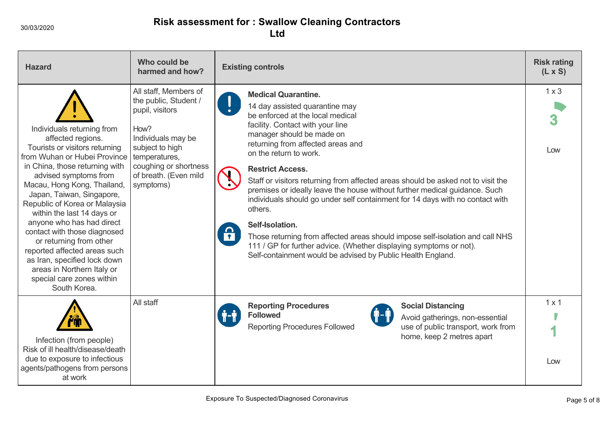| <b>Hazard</b>                                                                                                                                                                                                                                                                                                                                                                                                                                                                                                                              | Who could be<br>harmed and how?                                                                                                                                                                    | <b>Existing controls</b>                                                                                                                                                                                                                                                                                                                                                                                                                                                                                                                                                                                                                                                                                                                                                        | <b>Risk rating</b><br>$(L \times S)$ |
|--------------------------------------------------------------------------------------------------------------------------------------------------------------------------------------------------------------------------------------------------------------------------------------------------------------------------------------------------------------------------------------------------------------------------------------------------------------------------------------------------------------------------------------------|----------------------------------------------------------------------------------------------------------------------------------------------------------------------------------------------------|---------------------------------------------------------------------------------------------------------------------------------------------------------------------------------------------------------------------------------------------------------------------------------------------------------------------------------------------------------------------------------------------------------------------------------------------------------------------------------------------------------------------------------------------------------------------------------------------------------------------------------------------------------------------------------------------------------------------------------------------------------------------------------|--------------------------------------|
| Individuals returning from<br>affected regions.<br>Tourists or visitors returning<br>from Wuhan or Hubei Province<br>in China, those returning with<br>advised symptoms from<br>Macau, Hong Kong, Thailand,<br>Japan, Taiwan, Singapore,<br>Republic of Korea or Malaysia<br>within the last 14 days or<br>anyone who has had direct<br>contact with those diagnosed<br>or returning from other<br>reported affected areas such<br>as Iran, specified lock down<br>areas in Northern Italy or<br>special care zones within<br>South Korea. | All staff, Members of<br>the public, Student /<br>pupil, visitors<br>How?<br>Individuals may be<br>subject to high<br>temperatures,<br>coughing or shortness<br>of breath. (Even mild<br>symptoms) | <b>Medical Quarantine.</b><br>14 day assisted quarantine may<br>be enforced at the local medical<br>facility. Contact with your line<br>manager should be made on<br>returning from affected areas and<br>on the return to work.<br><b>Restrict Access.</b><br>Staff or visitors returning from affected areas should be asked not to visit the<br>premises or ideally leave the house without further medical guidance. Such<br>individuals should go under self containment for 14 days with no contact with<br>others.<br>Self-Isolation.<br><u> A</u><br>Those returning from affected areas should impose self-isolation and call NHS<br>111 / GP for further advice. (Whether displaying symptoms or not).<br>Self-containment would be advised by Public Health England. | $1 \times 3$<br>Low                  |
| Infection (from people)<br>Risk of ill health/disease/death<br>due to exposure to infectious<br>agents/pathogens from persons<br>at work                                                                                                                                                                                                                                                                                                                                                                                                   | All staff                                                                                                                                                                                          | <b>Reporting Procedures</b><br><b>Social Distancing</b><br><b>Followed</b><br>Avoid gatherings, non-essential<br><b>Reporting Procedures Followed</b><br>use of public transport, work from<br>home, keep 2 metres apart                                                                                                                                                                                                                                                                                                                                                                                                                                                                                                                                                        | $1 \times 1$<br>Low                  |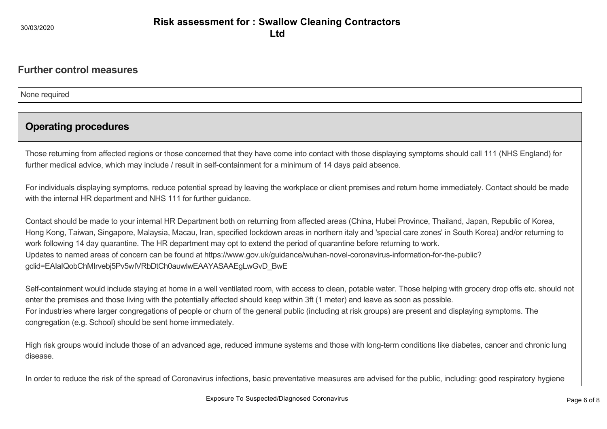#### **Further control measures**

None required

### **Operating procedures**

Those returning from affected regions or those concerned that they have come into contact with those displaying symptoms should call 111 (NHS England) for further medical advice, which may include / result in self-containment for a minimum of 14 days paid absence.

For individuals displaying symptoms, reduce potential spread by leaving the workplace or client premises and return home immediately. Contact should be made with the internal HR department and NHS 111 for further guidance.

Contact should be made to your internal HR Department both on returning from affected areas (China, Hubei Province, Thailand, Japan, Republic of Korea, Hong Kong, Taiwan, Singapore, Malaysia, Macau, Iran, specified lockdown areas in northern italy and 'special care zones' in South Korea) and/or returning to work following 14 day quarantine. The HR department may opt to extend the period of quarantine before returning to work. Updates to named areas of concern can be found at https://www.gov.uk/guidance/wuhan-novel-coronavirus-information-for-the-public? gclid=EAIaIQobChMIrvebj5Pv5wIVRbDtCh0auwlwEAAYASAAEgLwGvD\_BwE

Self-containment would include staying at home in a well ventilated room, with access to clean, potable water. Those helping with grocery drop offs etc. should not enter the premises and those living with the potentially affected should keep within 3ft (1 meter) and leave as soon as possible. For industries where larger congregations of people or churn of the general public (including at risk groups) are present and displaying symptoms. The congregation (e.g. School) should be sent home immediately.

High risk groups would include those of an advanced age, reduced immune systems and those with long-term conditions like diabetes, cancer and chronic lung disease.

In order to reduce the risk of the spread of Coronavirus infections, basic preventative measures are advised for the public, including: good respiratory hygiene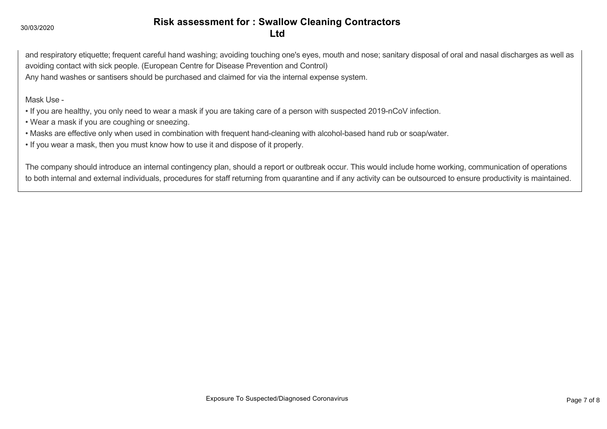and respiratory etiquette; frequent careful hand washing; avoiding touching one's eyes, mouth and nose; sanitary disposal of oral and nasal discharges as well as avoiding contact with sick people. (European Centre for Disease Prevention and Control) Any hand washes or santisers should be purchased and claimed for via the internal expense system.

Mask Use -

- If you are healthy, you only need to wear a mask if you are taking care of a person with suspected 2019-nCoV infection.
- Wear a mask if you are coughing or sneezing.
- Masks are effective only when used in combination with frequent hand-cleaning with alcohol-based hand rub or soap/water.
- If you wear a mask, then you must know how to use it and dispose of it properly.

The company should introduce an internal contingency plan, should a report or outbreak occur. This would include home working, communication of operations to both internal and external individuals, procedures for staff returning from quarantine and if any activity can be outsourced to ensure productivity is maintained.